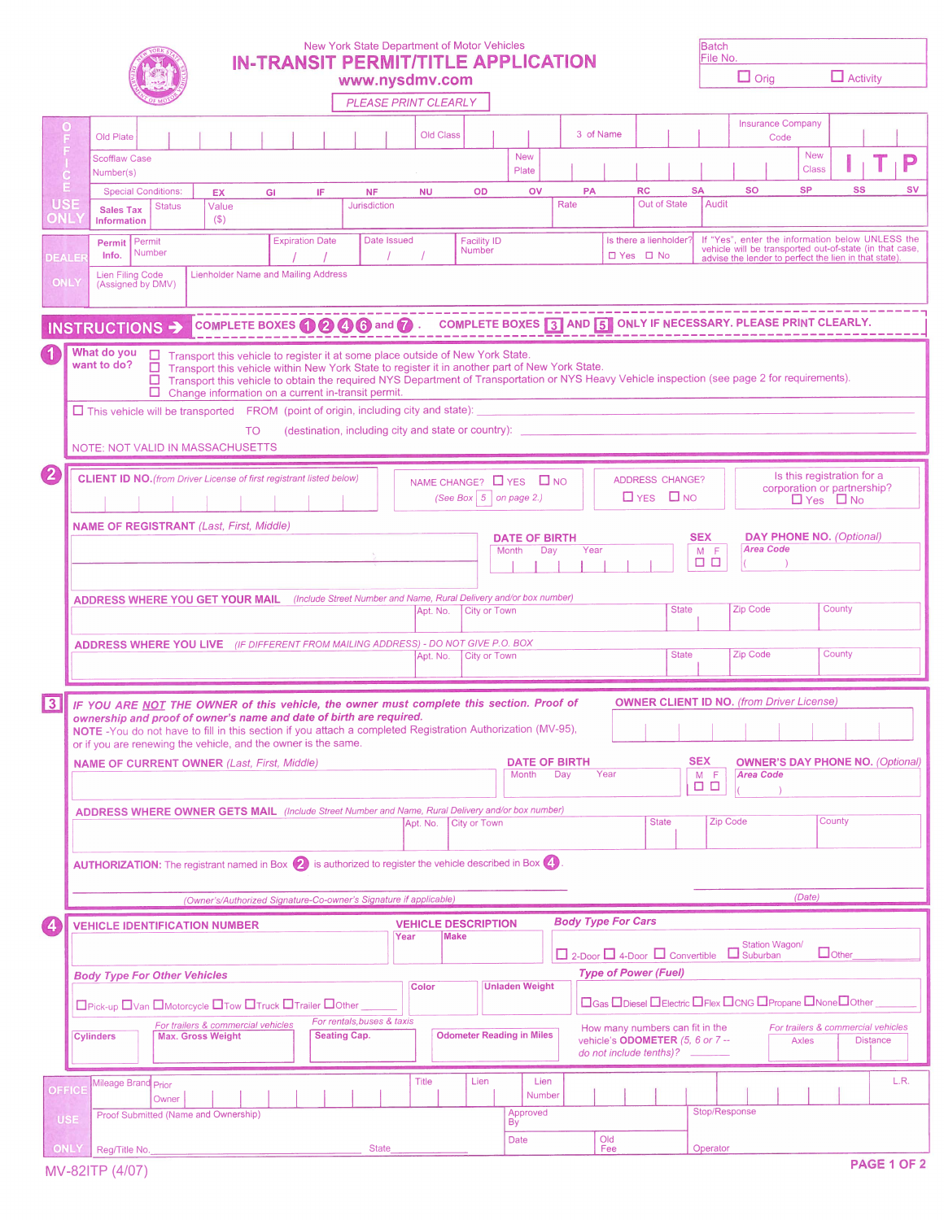|                                     |             |                                              |                                                                                                                                                                                                                                                                                                                                                                                                      |                                            |    |                        |                     | New York State Department of Motor Vehicles<br><b>IN-TRANSIT PERMIT/TITLE APPLICATION</b>                                  |              |           |                                                                     |                               |        |      |                           |                                                             |              | <b>Batch</b><br>File No. |                                                                                                                                                                     |                                  |                            |                                         |                 |                    |
|-------------------------------------|-------------|----------------------------------------------|------------------------------------------------------------------------------------------------------------------------------------------------------------------------------------------------------------------------------------------------------------------------------------------------------------------------------------------------------------------------------------------------------|--------------------------------------------|----|------------------------|---------------------|----------------------------------------------------------------------------------------------------------------------------|--------------|-----------|---------------------------------------------------------------------|-------------------------------|--------|------|---------------------------|-------------------------------------------------------------|--------------|--------------------------|---------------------------------------------------------------------------------------------------------------------------------------------------------------------|----------------------------------|----------------------------|-----------------------------------------|-----------------|--------------------|
|                                     |             |                                              |                                                                                                                                                                                                                                                                                                                                                                                                      |                                            |    |                        |                     | www.nysdmv.com                                                                                                             |              |           |                                                                     |                               |        |      |                           |                                                             |              |                          | $\Box$ Orig                                                                                                                                                         |                                  |                            | $\Box$ Activity                         |                 |                    |
|                                     |             |                                              |                                                                                                                                                                                                                                                                                                                                                                                                      |                                            |    |                        |                     | PLEASE PRINT CLEARLY                                                                                                       |              |           |                                                                     |                               |        |      |                           |                                                             |              |                          |                                                                                                                                                                     |                                  |                            |                                         |                 |                    |
|                                     | O<br>F      | Old Plate                                    |                                                                                                                                                                                                                                                                                                                                                                                                      |                                            |    |                        |                     |                                                                                                                            |              | Old Class |                                                                     |                               |        |      | 3 of Name                 |                                                             |              |                          |                                                                                                                                                                     | <b>Insurance Company</b><br>Code |                            |                                         |                 |                    |
| $\frac{F}{1}$<br>$\dot{\mathbf{c}}$ |             | <b>Scofflaw Case</b><br>Number(s)            |                                                                                                                                                                                                                                                                                                                                                                                                      |                                            |    |                        |                     |                                                                                                                            |              |           |                                                                     | <b>New</b><br>Plate           |        |      |                           |                                                             |              |                          |                                                                                                                                                                     |                                  | <b>New</b><br><b>Class</b> |                                         |                 | P                  |
| Е                                   |             | <b>Special Conditions:</b>                   |                                                                                                                                                                                                                                                                                                                                                                                                      | EX.                                        |    | GI                     | IF                  | <b>NF</b>                                                                                                                  | <b>NU</b>    |           | OD                                                                  | ov                            |        | PA   |                           | <b>RC</b>                                                   |              | <b>SA</b>                | <b>SO</b>                                                                                                                                                           |                                  | <b>SP</b>                  | SS                                      |                 | <b>SV</b>          |
| <b>USE</b><br><b>JNL</b>            |             | <b>Sales Tax</b><br><b>Information</b>       | <b>Status</b>                                                                                                                                                                                                                                                                                                                                                                                        | Value<br>(S)                               |    |                        |                     | <b>Jurisdiction</b>                                                                                                        |              |           |                                                                     |                               |        | Rate |                           | Out of State                                                |              | Audit                    |                                                                                                                                                                     |                                  |                            |                                         |                 |                    |
| EALER                               |             | Permit   Permit<br>Info.                     | Number                                                                                                                                                                                                                                                                                                                                                                                               |                                            |    | <b>Expiration Date</b> |                     | Date Issued                                                                                                                |              |           | <b>Facility ID</b><br>Number                                        |                               |        |      |                           | Is there a lienholder?<br>□ Yes □ No                        |              |                          | If "Yes", enter the information below UNLESS the<br>vehicle will be transported out-of-state (in that case,<br>advise the lender to perfect the lien in that state) |                                  |                            |                                         |                 |                    |
| <b>ONL</b>                          |             | <b>Lien Filing Code</b><br>(Assigned by DMV) |                                                                                                                                                                                                                                                                                                                                                                                                      | <b>Lienholder Name and Mailing Address</b> |    |                        |                     |                                                                                                                            |              |           |                                                                     |                               |        |      |                           |                                                             |              |                          |                                                                                                                                                                     |                                  |                            |                                         |                 |                    |
|                                     |             |                                              |                                                                                                                                                                                                                                                                                                                                                                                                      |                                            |    |                        |                     |                                                                                                                            |              |           |                                                                     |                               |        |      |                           |                                                             |              |                          |                                                                                                                                                                     |                                  |                            |                                         |                 |                    |
|                                     |             | INSTRUCTIONS >                               |                                                                                                                                                                                                                                                                                                                                                                                                      |                                            |    |                        |                     | COMPLETE BOXES <b>O @ @ @</b> and <b>@</b> . COMPLETE BOXES <b>3</b> AND <b>5</b> ONLY IF NECESSARY. PLEASE PRINT CLEARLY. |              |           |                                                                     |                               |        |      |                           |                                                             |              |                          |                                                                                                                                                                     |                                  |                            |                                         |                 |                    |
|                                     |             | What do you<br>want to do?                   | □ Transport this vehicle to register it at some place outside of New York State.<br>□ Transport this vehicle within New York State to register it in another part of New York State.<br>□ Transport this vehicle to obtain the required NYS Department of Transportation or NYS Heavy Vehicle inspection (see page 2 for requirements).<br>$\Box$ Change information on a current in-transit permit. |                                            |    |                        |                     |                                                                                                                            |              |           |                                                                     |                               |        |      |                           |                                                             |              |                          |                                                                                                                                                                     |                                  |                            |                                         |                 |                    |
|                                     |             |                                              | $\Box$ This vehicle will be transported FROM (point of origin, including city and state):                                                                                                                                                                                                                                                                                                            |                                            |    |                        |                     |                                                                                                                            |              |           |                                                                     |                               |        |      |                           |                                                             |              |                          |                                                                                                                                                                     |                                  |                            |                                         |                 |                    |
|                                     |             |                                              | NOTE: NOT VALID IN MASSACHUSETTS                                                                                                                                                                                                                                                                                                                                                                     |                                            | TO |                        |                     | (destination, including city and state or country):                                                                        |              |           |                                                                     |                               |        |      |                           |                                                             |              |                          |                                                                                                                                                                     |                                  |                            |                                         |                 |                    |
| $\bf{2}$                            |             |                                              | <b>CLIENT ID NO.</b> (from Driver License of first registrant listed below)                                                                                                                                                                                                                                                                                                                          |                                            |    |                        |                     |                                                                                                                            |              |           |                                                                     |                               |        |      |                           |                                                             |              |                          |                                                                                                                                                                     |                                  |                            | Is this registration for a              |                 |                    |
|                                     |             |                                              |                                                                                                                                                                                                                                                                                                                                                                                                      |                                            |    |                        |                     |                                                                                                                            |              |           | NAME CHANGE? <b>D</b> YES <b>D</b> NO<br>(See Box $ 5 $ on page 2.) |                               |        |      |                           | ADDRESS CHANGE?<br>$\Box$ YES $\Box$ NO                     |              |                          |                                                                                                                                                                     |                                  | $\Box$ Yes $\Box$ No       | corporation or partnership?             |                 |                    |
|                                     |             |                                              | <b>NAME OF REGISTRANT</b> (Last, First, Middle)                                                                                                                                                                                                                                                                                                                                                      |                                            |    |                        |                     |                                                                                                                            |              |           |                                                                     |                               |        |      |                           |                                                             |              |                          |                                                                                                                                                                     |                                  |                            |                                         |                 |                    |
|                                     |             |                                              |                                                                                                                                                                                                                                                                                                                                                                                                      |                                            |    |                        |                     |                                                                                                                            |              |           |                                                                     | <b>DATE OF BIRTH</b><br>Month | Day    | Year |                           |                                                             |              | <b>SEX</b><br>$M$ F      |                                                                                                                                                                     | <b>Area Code</b>                 |                            | <b>DAY PHONE NO. (Optional)</b>         |                 |                    |
|                                     |             |                                              |                                                                                                                                                                                                                                                                                                                                                                                                      |                                            |    |                        |                     |                                                                                                                            |              |           |                                                                     |                               |        |      |                           |                                                             |              | $\Box$ $\Box$            |                                                                                                                                                                     |                                  |                            |                                         |                 |                    |
|                                     |             |                                              | ADDRESS WHERE YOU GET YOUR MAIL (Include Street Number and Name, Rural Delivery and/or box number)                                                                                                                                                                                                                                                                                                   |                                            |    |                        |                     |                                                                                                                            |              |           |                                                                     |                               |        |      |                           |                                                             |              |                          |                                                                                                                                                                     |                                  |                            |                                         |                 |                    |
|                                     |             |                                              |                                                                                                                                                                                                                                                                                                                                                                                                      |                                            |    |                        |                     |                                                                                                                            |              | Apt. No.  | City or Town                                                        |                               |        |      |                           |                                                             | <b>State</b> |                          | Zip Code                                                                                                                                                            |                                  |                            | County                                  |                 |                    |
|                                     |             |                                              | <b>ADDRESS WHERE YOU LIVE</b> (IF DIFFERENT FROM MAILING ADDRESS) - DO NOT GIVE P.O. BOX                                                                                                                                                                                                                                                                                                             |                                            |    |                        |                     |                                                                                                                            |              | Apt. No.  | <b>City or Town</b>                                                 |                               |        |      |                           |                                                             | <b>State</b> |                          | Zip Code                                                                                                                                                            |                                  |                            | County                                  |                 |                    |
|                                     |             |                                              |                                                                                                                                                                                                                                                                                                                                                                                                      |                                            |    |                        |                     |                                                                                                                            |              |           |                                                                     |                               |        |      |                           |                                                             |              |                          |                                                                                                                                                                     |                                  |                            |                                         |                 |                    |
| $\sqrt{3}$                          |             |                                              | IF YOU ARE NOT THE OWNER of this vehicle, the owner must complete this section. Proof of                                                                                                                                                                                                                                                                                                             |                                            |    |                        |                     |                                                                                                                            |              |           |                                                                     |                               |        |      |                           |                                                             |              |                          | <b>OWNER CLIENT ID NO.</b> (from Driver License)                                                                                                                    |                                  |                            |                                         |                 |                    |
|                                     |             |                                              | ownership and proof of owner's name and date of birth are required.<br>NOTE - You do not have to fill in this section if you attach a completed Registration Authorization (MV-95),                                                                                                                                                                                                                  |                                            |    |                        |                     |                                                                                                                            |              |           |                                                                     |                               |        |      |                           |                                                             |              |                          | .                                                                                                                                                                   |                                  |                            |                                         |                 |                    |
|                                     |             |                                              | or if you are renewing the vehicle, and the owner is the same.                                                                                                                                                                                                                                                                                                                                       |                                            |    |                        |                     |                                                                                                                            |              |           |                                                                     |                               |        |      |                           |                                                             |              |                          |                                                                                                                                                                     |                                  |                            |                                         |                 |                    |
|                                     |             |                                              | <b>NAME OF CURRENT OWNER (Last, First, Middle)</b>                                                                                                                                                                                                                                                                                                                                                   |                                            |    |                        |                     |                                                                                                                            |              |           |                                                                     | <b>DATE OF BIRTH</b><br>Month | Day    |      | Year                      |                                                             |              | <b>SEX</b><br>$M$ $F$    | <b>Area Code</b>                                                                                                                                                    |                                  |                            | <b>OWNER'S DAY PHONE NO. (Optional)</b> |                 |                    |
|                                     |             |                                              |                                                                                                                                                                                                                                                                                                                                                                                                      |                                            |    |                        |                     |                                                                                                                            |              |           |                                                                     |                               |        |      |                           |                                                             |              | ם ם                      |                                                                                                                                                                     |                                  |                            |                                         |                 |                    |
|                                     |             |                                              | <b>ADDRESS WHERE OWNER GETS MAIL</b> (Include Street Number and Name, Rural Delivery and/or box number)                                                                                                                                                                                                                                                                                              |                                            |    |                        |                     |                                                                                                                            | Apt. No.     |           | City or Town                                                        |                               |        |      |                           | <b>State</b>                                                |              | Zip Code                 |                                                                                                                                                                     |                                  | County                     |                                         |                 |                    |
|                                     |             |                                              | AUTHORIZATION: The registrant named in Box (2) is authorized to register the vehicle described in Box (4)                                                                                                                                                                                                                                                                                            |                                            |    |                        |                     |                                                                                                                            |              |           |                                                                     |                               |        |      |                           |                                                             |              |                          |                                                                                                                                                                     |                                  |                            |                                         |                 |                    |
|                                     |             |                                              |                                                                                                                                                                                                                                                                                                                                                                                                      |                                            |    |                        |                     | (Owner's/Authorized Signature-Co-owner's Signature if applicable)                                                          |              |           |                                                                     |                               |        |      |                           |                                                             |              |                          |                                                                                                                                                                     |                                  | (Date)                     |                                         |                 |                    |
| $\left( 4 \right)$                  |             |                                              | <b>VEHICLE IDENTIFICATION NUMBER</b>                                                                                                                                                                                                                                                                                                                                                                 |                                            |    |                        |                     |                                                                                                                            |              |           | <b>VEHICLE DESCRIPTION</b>                                          |                               |        |      | <b>Body Type For Cars</b> |                                                             |              |                          |                                                                                                                                                                     |                                  |                            |                                         |                 |                    |
|                                     |             |                                              |                                                                                                                                                                                                                                                                                                                                                                                                      |                                            |    |                        |                     |                                                                                                                            | Year         | Make      |                                                                     |                               |        |      |                           |                                                             |              |                          |                                                                                                                                                                     | Station Wagon/                   |                            |                                         |                 |                    |
|                                     |             |                                              | <b>Body Type For Other Vehicles</b>                                                                                                                                                                                                                                                                                                                                                                  |                                            |    |                        |                     |                                                                                                                            |              |           |                                                                     |                               |        |      |                           | <b>Type of Power (Fuel)</b>                                 |              |                          | $\Box$ 2-Door $\Box$ 4-Door $\Box$ Convertible $\Box$ Suburban                                                                                                      |                                  |                            | $\Box$ Other                            |                 |                    |
|                                     |             |                                              | □Pick-up □Van □Motorcycle □Tow □Truck □Trailer □Other                                                                                                                                                                                                                                                                                                                                                |                                            |    |                        |                     |                                                                                                                            | <b>Color</b> |           |                                                                     | <b>Unladen Weight</b>         |        |      |                           |                                                             |              |                          | <b>OGas ODiesel OElectric OFlex OCNG OPropane ONone OOther</b>                                                                                                      |                                  |                            |                                         |                 |                    |
|                                     |             |                                              |                                                                                                                                                                                                                                                                                                                                                                                                      | For trailers & commercial vehicles         |    |                        |                     | For rentals, buses & taxis                                                                                                 |              |           |                                                                     |                               |        |      |                           | How many numbers can fit in the                             |              |                          |                                                                                                                                                                     |                                  |                            | For trailers & commercial vehicles      |                 |                    |
|                                     |             | <b>Cylinders</b>                             |                                                                                                                                                                                                                                                                                                                                                                                                      | <b>Max. Gross Weight</b>                   |    |                        | <b>Seating Cap.</b> |                                                                                                                            |              |           | <b>Odometer Reading in Miles</b>                                    |                               |        |      |                           | vehicle's ODOMETER (5, 6 or 7 --<br>do not include tenths)? |              |                          |                                                                                                                                                                     |                                  | <b>Axles</b>               |                                         | <b>Distance</b> |                    |
|                                     |             | Mileage Brand Prior                          |                                                                                                                                                                                                                                                                                                                                                                                                      |                                            |    |                        |                     |                                                                                                                            | Title        |           | Lien                                                                |                               | Lien   |      |                           |                                                             |              |                          |                                                                                                                                                                     |                                  |                            |                                         |                 | L.R.               |
| <b>OFFICE</b>                       |             |                                              | Owner<br>Proof Submitted (Name and Ownership)                                                                                                                                                                                                                                                                                                                                                        |                                            |    |                        |                     |                                                                                                                            |              |           |                                                                     | Approved                      | Number |      |                           |                                                             |              | Stop/Response            |                                                                                                                                                                     |                                  |                            |                                         |                 |                    |
| <b>USE</b>                          |             |                                              |                                                                                                                                                                                                                                                                                                                                                                                                      |                                            |    |                        |                     |                                                                                                                            |              |           |                                                                     | By                            |        |      | Old                       |                                                             |              |                          |                                                                                                                                                                     |                                  |                            |                                         |                 |                    |
|                                     | <b>ONLY</b> | Reg/Title No.                                |                                                                                                                                                                                                                                                                                                                                                                                                      |                                            |    |                        |                     | <b>State</b>                                                                                                               |              |           |                                                                     | <b>Date</b>                   |        |      | Fee                       |                                                             |              | Operator                 |                                                                                                                                                                     |                                  |                            |                                         |                 | <b>PAGE 1 OF 2</b> |
|                                     |             | MV-82ITP (4/07)                              |                                                                                                                                                                                                                                                                                                                                                                                                      |                                            |    |                        |                     |                                                                                                                            |              |           |                                                                     |                               |        |      |                           |                                                             |              |                          |                                                                                                                                                                     |                                  |                            |                                         |                 |                    |